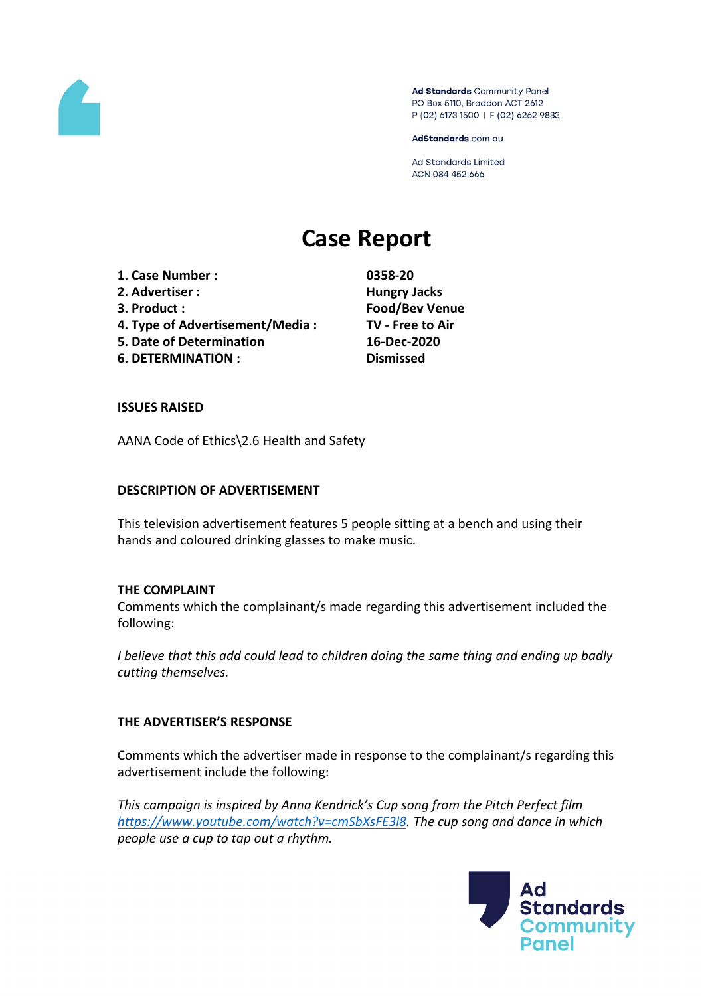# Case Report

- 1. Case Number: 0358-20
- 2. Advertiser : HungryJacks
- 
- 4. Type ofAdvertisement/Media : TV Freeto Air
- 5. Date ofDetermination 16-Dec-2020
- 6. DETERMINATION: Dismissed

3. Product: Food/Bev Venue

ISSUES RAISED

AANA Code of Ethics\2Health andSafety

DESCRIPTION OF ADVERTISEMENT

This televisionadvertisement feature<sup>5</sup> people sitting at benchandusingtheir hands and coloured drinking glasses to ake music.

THE COMPLAINT

Commentswhichthe complainant/s madeegardingthis advertisement ncluded the following:

I believethat this add couldead to children doing the amething and endingup badly cutting themselves.

## THE ADVERTISERTSSPONSE

Commentswhichthe advertisemade in response to the complainant/sregarding this advertisement include the following:

This campaigns inspired by Anna Kendrick's Campatrom the Pitch Perfectilm [https://www.youtube.com/watch?v=cmSbXsFE](https://www.youtube.com/watch?v=cmSbXsFE3l8)3The cupsong and dance inwhich peopleuse acupto tap out arhythm.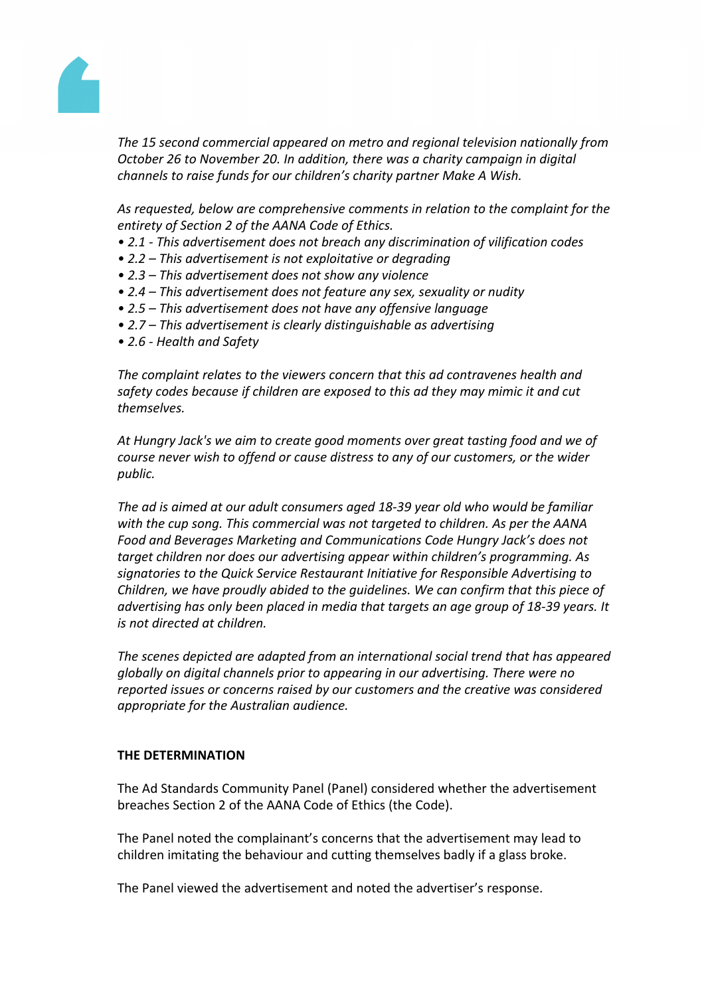

*The 15 second commercial appeared on metro and regional television nationally from October 26 to November 20. In addition, there was a charity campaign in digital channels to raise funds for our children's charity partner Make A Wish.*

*As requested, below are comprehensive comments in relation to the complaint for the entirety of Section 2 of the AANA Code of Ethics.*

- *• 2.1 - This advertisement does not breach any discrimination of vilification codes*
- *• 2.2 – This advertisement is not exploitative or degrading*
- *• 2.3 – This advertisement does not show any violence*
- *• 2.4 – This advertisement does not feature any sex, sexuality or nudity*
- *• 2.5 – This advertisement does not have any offensive language*
- *• 2.7 – This advertisement is clearly distinguishable as advertising*
- *• 2.6 - Health and Safety*

*The complaint relates to the viewers concern that this ad contravenes health and safety codes because if children are exposed to this ad they may mimic it and cut themselves.*

*At Hungry Jack's we aim to create good moments over great tasting food and we of course never wish to offend or cause distress to any of our customers, or the wider public.*

*The ad is aimed at our adult consumers aged 18-39 year old who would be familiar with the cup song. This commercial was not targeted to children. As per the AANA Food and Beverages Marketing and Communications Code Hungry Jack's does not target children nor does our advertising appear within children's programming. As signatories to the Quick Service Restaurant Initiative for Responsible Advertising to Children, we have proudly abided to the guidelines. We can confirm that this piece of advertising has only been placed in media that targets an age group of 18-39 years. It is not directed at children.*

*The scenes depicted are adapted from an international social trend that has appeared globally on digital channels prior to appearing in our advertising. There were no reported issues or concerns raised by our customers and the creative was considered appropriate for the Australian audience.*

## **THE DETERMINATION**

The Ad Standards Community Panel (Panel) considered whether the advertisement breaches Section 2 of the AANA Code of Ethics (the Code).

The Panel noted the complainant's concerns that the advertisement may lead to children imitating the behaviour and cutting themselves badly if a glass broke.

The Panel viewed the advertisement and noted the advertiser's response.